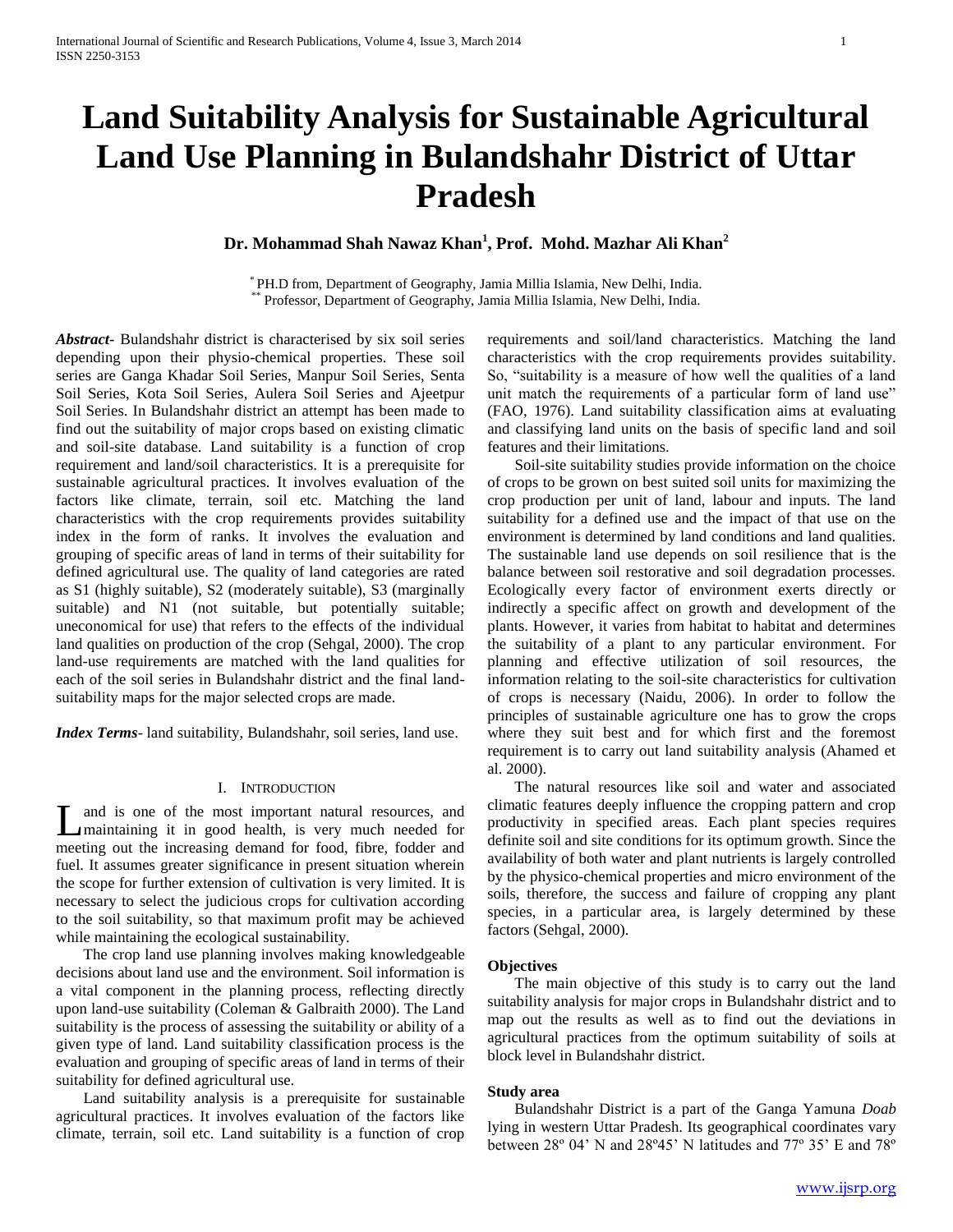# **Land Suitability Analysis for Sustainable Agricultural Land Use Planning in Bulandshahr District of Uttar Pradesh**

# **Dr. Mohammad Shah Nawaz Khan<sup>1</sup> , Prof. Mohd. Mazhar Ali Khan<sup>2</sup>**

\* PH.D from, Department of Geography, Jamia Millia Islamia, New Delhi, India. \*\* Professor, Department of Geography, Jamia Millia Islamia, New Delhi, India.

*Abstract***-** Bulandshahr district is characterised by six soil series depending upon their physio-chemical properties. These soil series are Ganga Khadar Soil Series, Manpur Soil Series, Senta Soil Series, Kota Soil Series, Aulera Soil Series and Ajeetpur Soil Series. In Bulandshahr district an attempt has been made to find out the suitability of major crops based on existing climatic and soil-site database. Land suitability is a function of crop requirement and land/soil characteristics. It is a prerequisite for sustainable agricultural practices. It involves evaluation of the factors like climate, terrain, soil etc. Matching the land characteristics with the crop requirements provides suitability index in the form of ranks. It involves the evaluation and grouping of specific areas of land in terms of their suitability for defined agricultural use. The quality of land categories are rated as S1 (highly suitable), S2 (moderately suitable), S3 (marginally suitable) and N1 (not suitable, but potentially suitable; uneconomical for use) that refers to the effects of the individual land qualities on production of the crop (Sehgal, 2000). The crop land-use requirements are matched with the land qualities for each of the soil series in Bulandshahr district and the final landsuitability maps for the major selected crops are made.

*Index Terms*- land suitability, Bulandshahr, soil series, land use.

#### I. INTRODUCTION

and is one of the most important natural resources, and maintaining it in good health, is very much needed for L and is one of the most important natural resources, and maintaining it in good health, is very much needed for meeting out the increasing demand for food, fibre, fodder and fuel. It assumes greater significance in present situation wherein the scope for further extension of cultivation is very limited. It is necessary to select the judicious crops for cultivation according to the soil suitability, so that maximum profit may be achieved while maintaining the ecological sustainability.

 The crop land use planning involves making knowledgeable decisions about land use and the environment. Soil information is a vital component in the planning process, reflecting directly upon land-use suitability (Coleman & Galbraith 2000). The Land suitability is the process of assessing the suitability or ability of a given type of land. Land suitability classification process is the evaluation and grouping of specific areas of land in terms of their suitability for defined agricultural use.

 Land suitability analysis is a prerequisite for sustainable agricultural practices. It involves evaluation of the factors like climate, terrain, soil etc. Land suitability is a function of crop

requirements and soil/land characteristics. Matching the land characteristics with the crop requirements provides suitability. So, "suitability is a measure of how well the qualities of a land unit match the requirements of a particular form of land use" (FAO, 1976). Land suitability classification aims at evaluating and classifying land units on the basis of specific land and soil features and their limitations.

 Soil-site suitability studies provide information on the choice of crops to be grown on best suited soil units for maximizing the crop production per unit of land, labour and inputs. The land suitability for a defined use and the impact of that use on the environment is determined by land conditions and land qualities. The sustainable land use depends on soil resilience that is the balance between soil restorative and soil degradation processes. Ecologically every factor of environment exerts directly or indirectly a specific affect on growth and development of the plants. However, it varies from habitat to habitat and determines the suitability of a plant to any particular environment. For planning and effective utilization of soil resources, the information relating to the soil-site characteristics for cultivation of crops is necessary (Naidu, 2006). In order to follow the principles of sustainable agriculture one has to grow the crops where they suit best and for which first and the foremost requirement is to carry out land suitability analysis (Ahamed et al. 2000).

 The natural resources like soil and water and associated climatic features deeply influence the cropping pattern and crop productivity in specified areas. Each plant species requires definite soil and site conditions for its optimum growth. Since the availability of both water and plant nutrients is largely controlled by the physico-chemical properties and micro environment of the soils, therefore, the success and failure of cropping any plant species, in a particular area, is largely determined by these factors (Sehgal, 2000).

## **Objectives**

 The main objective of this study is to carry out the land suitability analysis for major crops in Bulandshahr district and to map out the results as well as to find out the deviations in agricultural practices from the optimum suitability of soils at block level in Bulandshahr district.

#### **Study area**

 Bulandshahr District is a part of the Ganga Yamuna *Doab* lying in western Uttar Pradesh. Its geographical coordinates vary between 28º 04' N and 28º45' N latitudes and 77º 35' E and 78º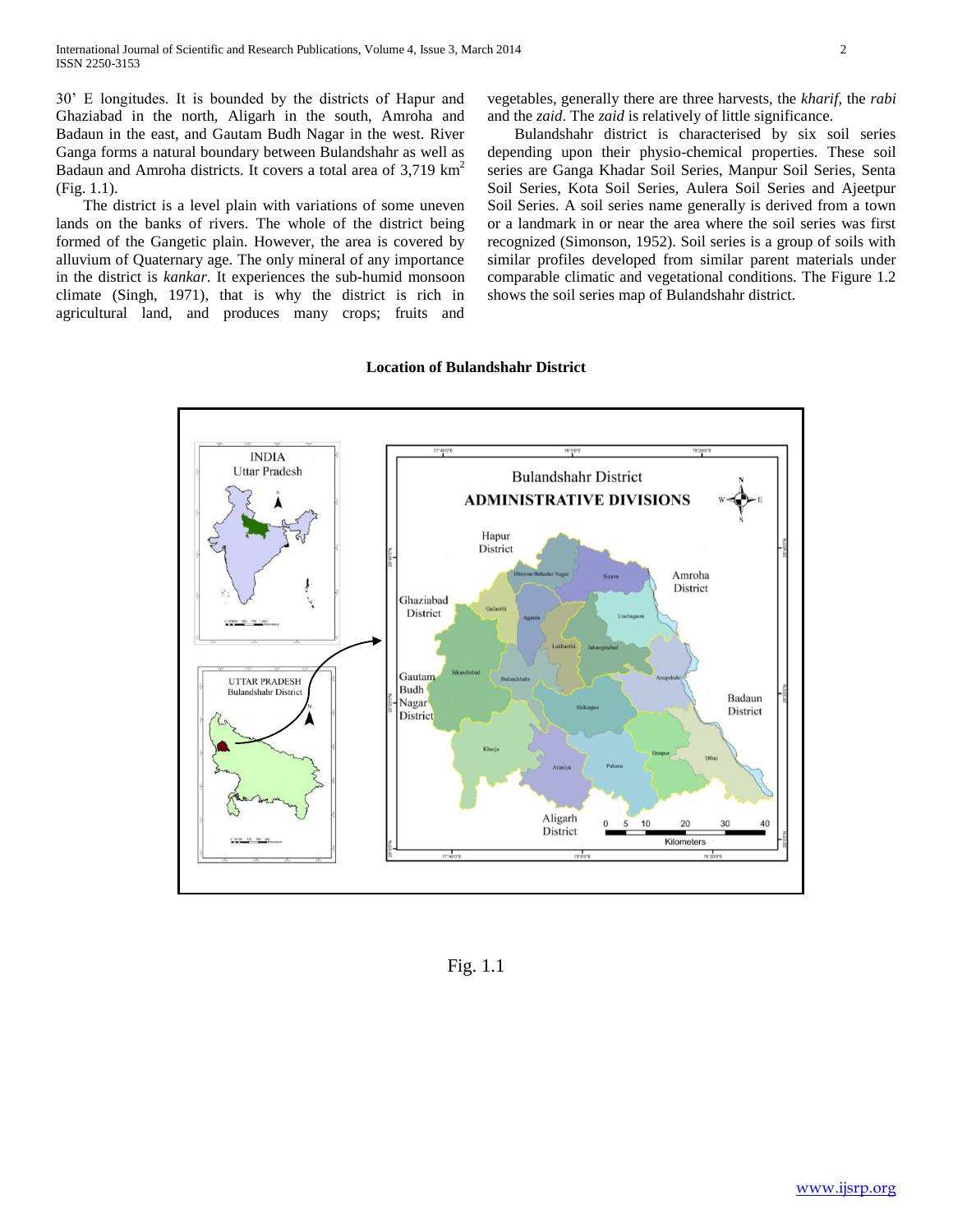30' E longitudes. It is bounded by the districts of Hapur and Ghaziabad in the north, Aligarh in the south, Amroha and Badaun in the east, and Gautam Budh Nagar in the west. River Ganga forms a natural boundary between Bulandshahr as well as Badaun and Amroha districts. It covers a total area of 3,719 km<sup>2</sup> (Fig. 1.1).

 The district is a level plain with variations of some uneven lands on the banks of rivers. The whole of the district being formed of the Gangetic plain. However, the area is covered by alluvium of Quaternary age. The only mineral of any importance in the district is *kankar*. It experiences the sub-humid monsoon climate (Singh, 1971), that is why the district is rich in agricultural land, and produces many crops; fruits and

vegetables, generally there are three harvests, the *kharif,* the *rabi* and the *zaid*. The *zaid* is relatively of little significance.

 Bulandshahr district is characterised by six soil series depending upon their physio-chemical properties. These soil series are Ganga Khadar Soil Series, Manpur Soil Series, Senta Soil Series, Kota Soil Series, Aulera Soil Series and Ajeetpur Soil Series. A soil series name generally is derived from a town or a landmark in or near the area where the soil series was first recognized (Simonson, 1952). Soil series is a group of soils with similar profiles developed from similar parent materials under comparable climatic and vegetational conditions. The Figure 1.2 shows the soil series map of Bulandshahr district.

## **Location of Bulandshahr District**



Fig. 1.1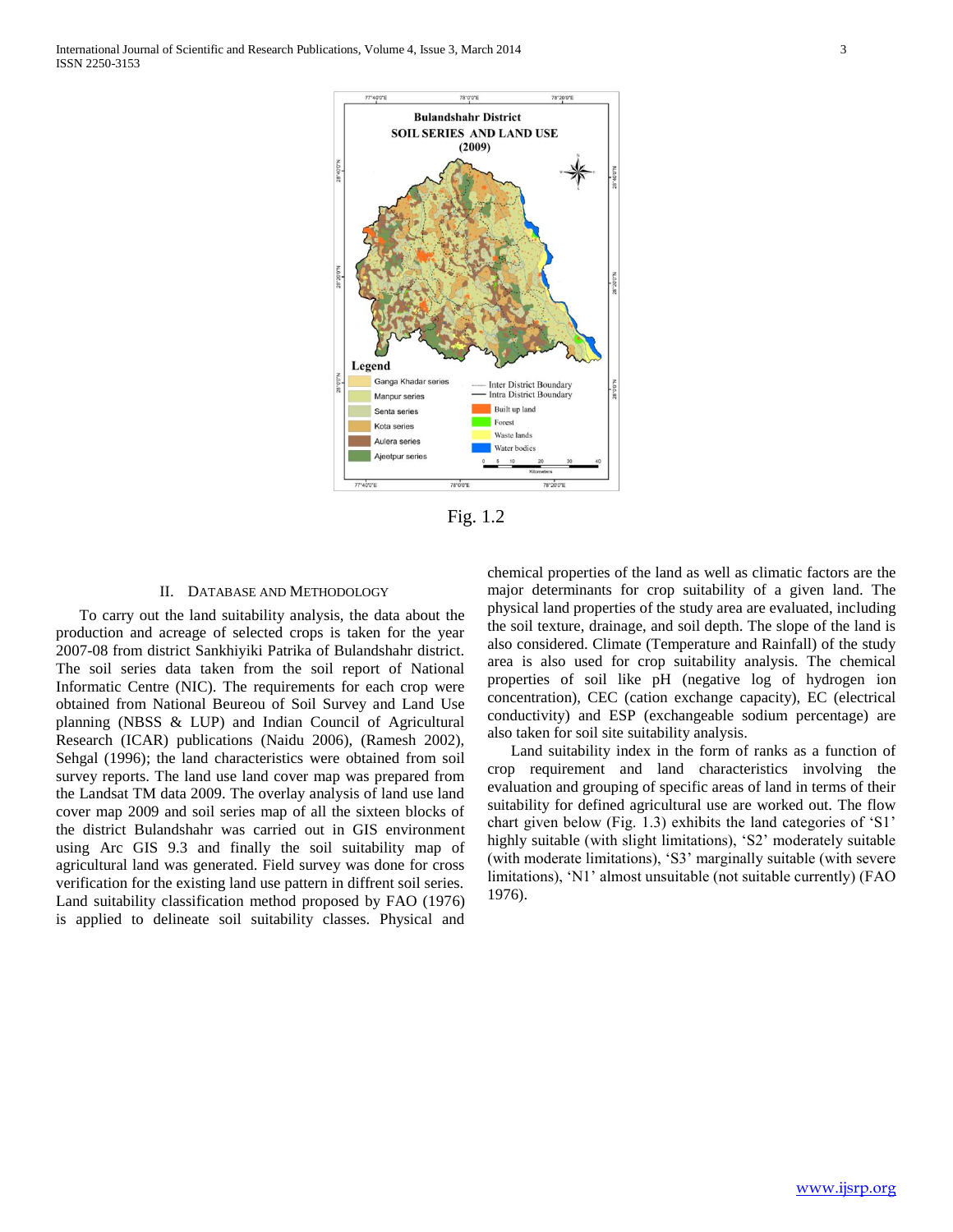International Journal of Scientific and Research Publications, Volume 4, Issue 3, March 2014 3 ISSN 2250-3153



Fig. 1.2

## II. DATABASE AND METHODOLOGY

 To carry out the land suitability analysis, the data about the production and acreage of selected crops is taken for the year 2007-08 from district Sankhiyiki Patrika of Bulandshahr district. The soil series data taken from the soil report of National Informatic Centre (NIC). The requirements for each crop were obtained from National Beureou of Soil Survey and Land Use planning (NBSS & LUP) and Indian Council of Agricultural Research (ICAR) publications (Naidu 2006), (Ramesh 2002), Sehgal (1996); the land characteristics were obtained from soil survey reports. The land use land cover map was prepared from the Landsat TM data 2009. The overlay analysis of land use land cover map 2009 and soil series map of all the sixteen blocks of the district Bulandshahr was carried out in GIS environment using Arc GIS 9.3 and finally the soil suitability map of agricultural land was generated. Field survey was done for cross verification for the existing land use pattern in diffrent soil series. Land suitability classification method proposed by FAO (1976) is applied to delineate soil suitability classes. Physical and

chemical properties of the land as well as climatic factors are the major determinants for crop suitability of a given land. The physical land properties of the study area are evaluated, including the soil texture, drainage, and soil depth. The slope of the land is also considered. Climate (Temperature and Rainfall) of the study area is also used for crop suitability analysis. The chemical properties of soil like pH (negative log of hydrogen ion concentration), CEC (cation exchange capacity), EC (electrical conductivity) and ESP (exchangeable sodium percentage) are also taken for soil site suitability analysis.

 Land suitability index in the form of ranks as a function of crop requirement and land characteristics involving the evaluation and grouping of specific areas of land in terms of their suitability for defined agricultural use are worked out. The flow chart given below (Fig. 1.3) exhibits the land categories of 'S1' highly suitable (with slight limitations), 'S2' moderately suitable (with moderate limitations), 'S3' marginally suitable (with severe limitations), 'N1' almost unsuitable (not suitable currently) (FAO 1976).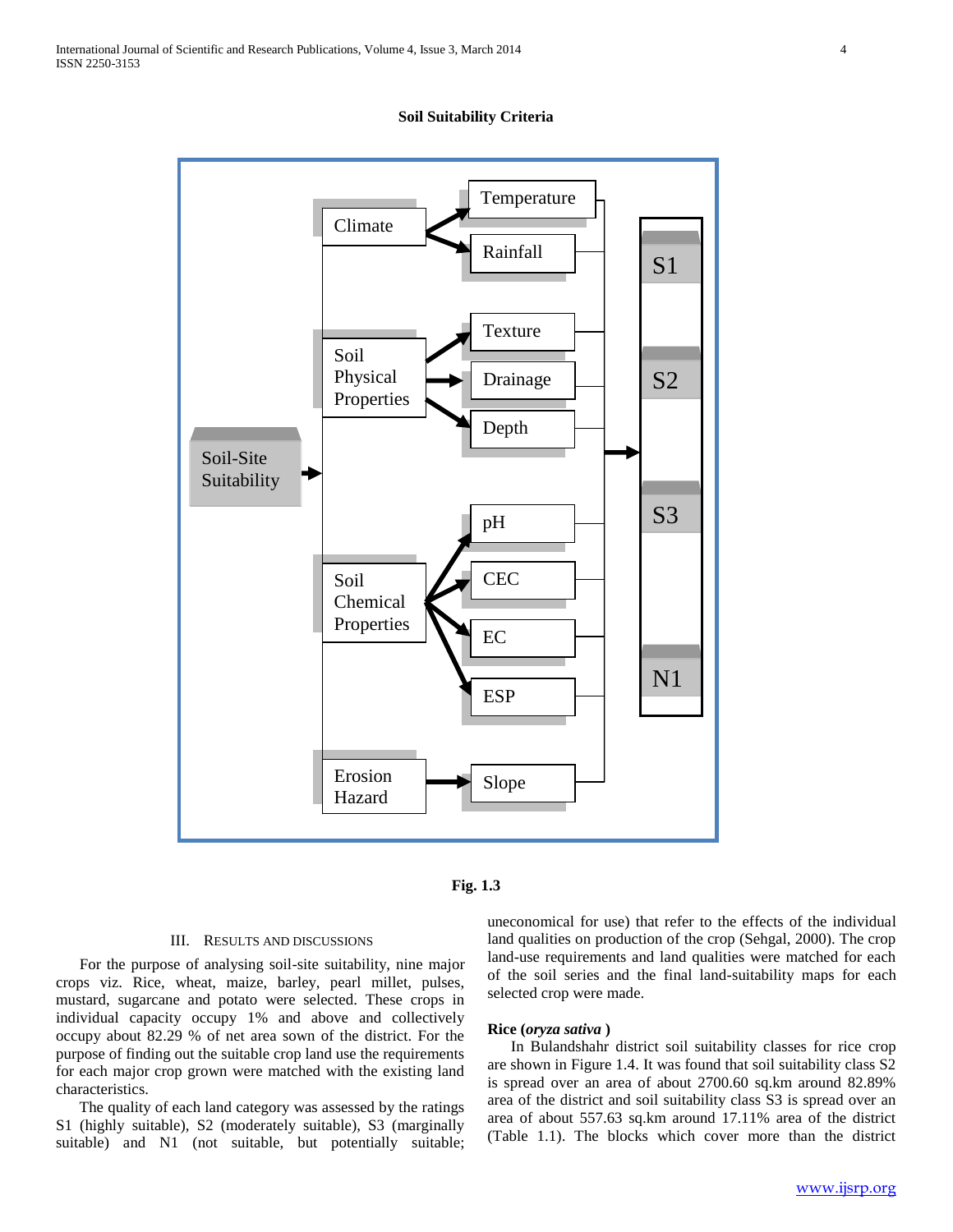

**Soil Suitability Criteria**



#### III. RESULTS AND DISCUSSIONS

 For the purpose of analysing soil-site suitability, nine major crops viz. Rice, wheat, maize, barley, pearl millet, pulses, mustard, sugarcane and potato were selected. These crops in individual capacity occupy 1% and above and collectively occupy about 82.29 % of net area sown of the district. For the purpose of finding out the suitable crop land use the requirements for each major crop grown were matched with the existing land characteristics.

 The quality of each land category was assessed by the ratings S1 (highly suitable), S2 (moderately suitable), S3 (marginally suitable) and N1 (not suitable, but potentially suitable; uneconomical for use) that refer to the effects of the individual land qualities on production of the crop (Sehgal, 2000). The crop land-use requirements and land qualities were matched for each of the soil series and the final land-suitability maps for each selected crop were made.

## **Rice (***oryza sativa* **)**

 In Bulandshahr district soil suitability classes for rice crop are shown in Figure 1.4. It was found that soil suitability class S2 is spread over an area of about 2700.60 sq.km around 82.89% area of the district and soil suitability class S3 is spread over an area of about 557.63 sq.km around 17.11% area of the district (Table 1.1). The blocks which cover more than the district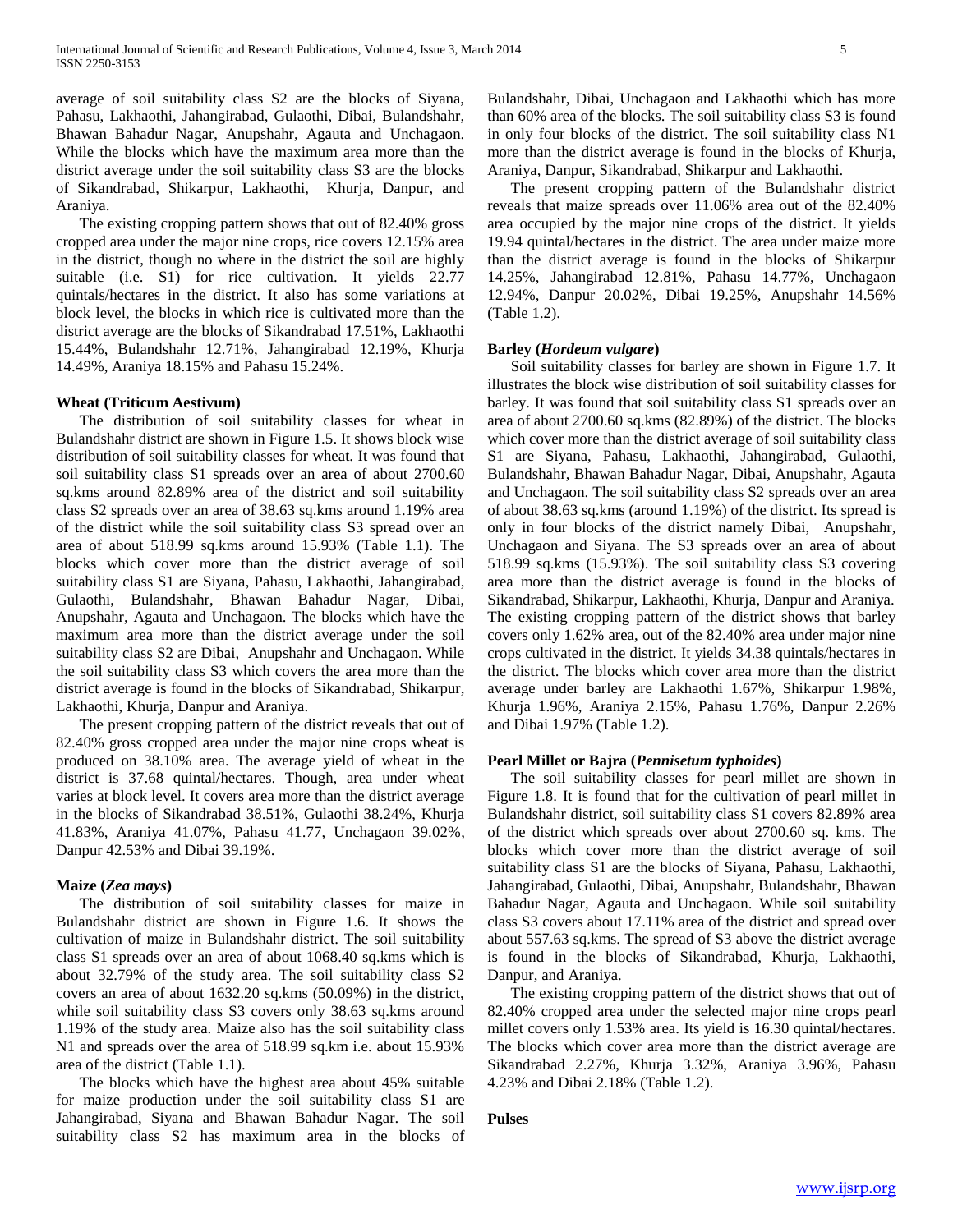average of soil suitability class S2 are the blocks of Siyana, Pahasu, Lakhaothi, Jahangirabad, Gulaothi, Dibai, Bulandshahr, Bhawan Bahadur Nagar, Anupshahr, Agauta and Unchagaon. While the blocks which have the maximum area more than the district average under the soil suitability class S3 are the blocks of Sikandrabad, Shikarpur, Lakhaothi, Khurja, Danpur, and Araniya.

 The existing cropping pattern shows that out of 82.40% gross cropped area under the major nine crops, rice covers 12.15% area in the district, though no where in the district the soil are highly suitable (i.e. S1) for rice cultivation. It yields 22.77 quintals/hectares in the district. It also has some variations at block level, the blocks in which rice is cultivated more than the district average are the blocks of Sikandrabad 17.51%, Lakhaothi 15.44%, Bulandshahr 12.71%, Jahangirabad 12.19%, Khurja 14.49%, Araniya 18.15% and Pahasu 15.24%.

## **Wheat (Triticum Aestivum)**

 The distribution of soil suitability classes for wheat in Bulandshahr district are shown in Figure 1.5. It shows block wise distribution of soil suitability classes for wheat. It was found that soil suitability class S1 spreads over an area of about 2700.60 sq.kms around 82.89% area of the district and soil suitability class S2 spreads over an area of 38.63 sq.kms around 1.19% area of the district while the soil suitability class S3 spread over an area of about 518.99 sq.kms around 15.93% (Table 1.1). The blocks which cover more than the district average of soil suitability class S1 are Siyana, Pahasu, Lakhaothi, Jahangirabad, Gulaothi, Bulandshahr, Bhawan Bahadur Nagar, Dibai, Anupshahr, Agauta and Unchagaon. The blocks which have the maximum area more than the district average under the soil suitability class S2 are Dibai, Anupshahr and Unchagaon. While the soil suitability class S3 which covers the area more than the district average is found in the blocks of Sikandrabad, Shikarpur, Lakhaothi, Khurja, Danpur and Araniya.

 The present cropping pattern of the district reveals that out of 82.40% gross cropped area under the major nine crops wheat is produced on 38.10% area. The average yield of wheat in the district is 37.68 quintal/hectares. Though, area under wheat varies at block level. It covers area more than the district average in the blocks of Sikandrabad 38.51%, Gulaothi 38.24%, Khurja 41.83%, Araniya 41.07%, Pahasu 41.77, Unchagaon 39.02%, Danpur 42.53% and Dibai 39.19%.

#### **Maize (***Zea mays***)**

 The distribution of soil suitability classes for maize in Bulandshahr district are shown in Figure 1.6. It shows the cultivation of maize in Bulandshahr district. The soil suitability class S1 spreads over an area of about 1068.40 sq.kms which is about 32.79% of the study area. The soil suitability class S2 covers an area of about 1632.20 sq.kms (50.09%) in the district, while soil suitability class S3 covers only 38.63 sq.kms around 1.19% of the study area. Maize also has the soil suitability class N1 and spreads over the area of 518.99 sq.km i.e. about 15.93% area of the district (Table 1.1).

 The blocks which have the highest area about 45% suitable for maize production under the soil suitability class S1 are Jahangirabad, Siyana and Bhawan Bahadur Nagar. The soil suitability class S2 has maximum area in the blocks of Bulandshahr, Dibai, Unchagaon and Lakhaothi which has more than 60% area of the blocks. The soil suitability class S3 is found in only four blocks of the district. The soil suitability class N1 more than the district average is found in the blocks of Khurja, Araniya, Danpur, Sikandrabad, Shikarpur and Lakhaothi.

 The present cropping pattern of the Bulandshahr district reveals that maize spreads over 11.06% area out of the 82.40% area occupied by the major nine crops of the district. It yields 19.94 quintal/hectares in the district. The area under maize more than the district average is found in the blocks of Shikarpur 14.25%, Jahangirabad 12.81%, Pahasu 14.77%, Unchagaon 12.94%, Danpur 20.02%, Dibai 19.25%, Anupshahr 14.56% (Table 1.2).

#### **Barley (***Hordeum vulgare***)**

 Soil suitability classes for barley are shown in Figure 1.7. It illustrates the block wise distribution of soil suitability classes for barley. It was found that soil suitability class S1 spreads over an area of about 2700.60 sq.kms (82.89%) of the district. The blocks which cover more than the district average of soil suitability class S1 are Siyana, Pahasu, Lakhaothi, Jahangirabad, Gulaothi, Bulandshahr, Bhawan Bahadur Nagar, Dibai, Anupshahr, Agauta and Unchagaon. The soil suitability class S2 spreads over an area of about 38.63 sq.kms (around 1.19%) of the district. Its spread is only in four blocks of the district namely Dibai, Anupshahr, Unchagaon and Siyana. The S3 spreads over an area of about 518.99 sq.kms (15.93%). The soil suitability class S3 covering area more than the district average is found in the blocks of Sikandrabad, Shikarpur, Lakhaothi, Khurja, Danpur and Araniya. The existing cropping pattern of the district shows that barley covers only 1.62% area, out of the 82.40% area under major nine crops cultivated in the district. It yields 34.38 quintals/hectares in the district. The blocks which cover area more than the district average under barley are Lakhaothi 1.67%, Shikarpur 1.98%, Khurja 1.96%, Araniya 2.15%, Pahasu 1.76%, Danpur 2.26% and Dibai 1.97% (Table 1.2).

## **Pearl Millet or Bajra (***Pennisetum typhoides***)**

 The soil suitability classes for pearl millet are shown in Figure 1.8. It is found that for the cultivation of pearl millet in Bulandshahr district, soil suitability class S1 covers 82.89% area of the district which spreads over about 2700.60 sq. kms. The blocks which cover more than the district average of soil suitability class S1 are the blocks of Siyana, Pahasu, Lakhaothi, Jahangirabad, Gulaothi, Dibai, Anupshahr, Bulandshahr, Bhawan Bahadur Nagar, Agauta and Unchagaon. While soil suitability class S3 covers about 17.11% area of the district and spread over about 557.63 sq.kms. The spread of S3 above the district average is found in the blocks of Sikandrabad, Khurja, Lakhaothi, Danpur, and Araniya.

 The existing cropping pattern of the district shows that out of 82.40% cropped area under the selected major nine crops pearl millet covers only 1.53% area. Its yield is 16.30 quintal/hectares. The blocks which cover area more than the district average are Sikandrabad 2.27%, Khurja 3.32%, Araniya 3.96%, Pahasu 4.23% and Dibai 2.18% (Table 1.2).

#### **Pulses**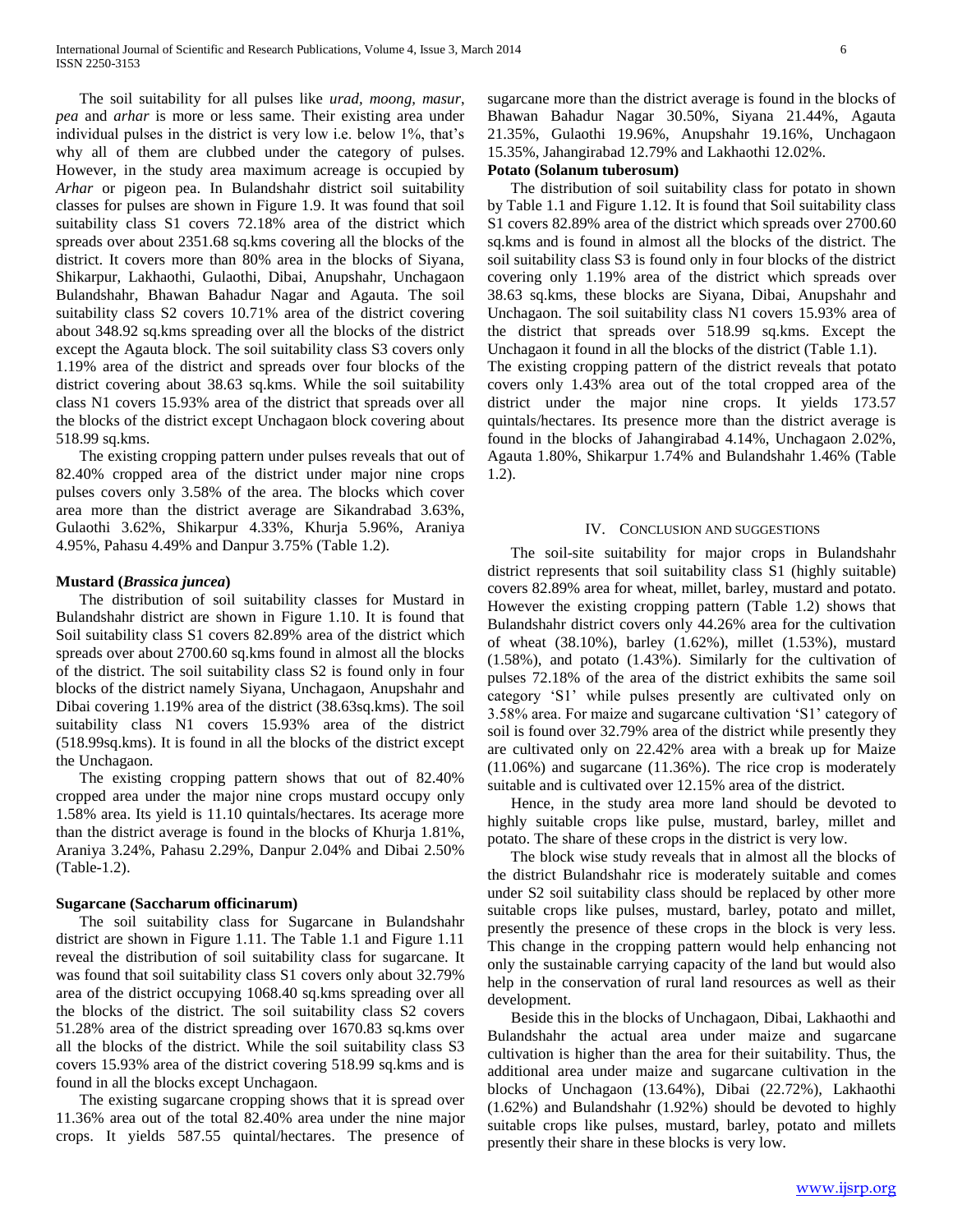The soil suitability for all pulses like *urad, moong, masur*, *pea* and *arhar* is more or less same. Their existing area under individual pulses in the district is very low i.e. below 1%, that's why all of them are clubbed under the category of pulses. However, in the study area maximum acreage is occupied by *Arhar* or pigeon pea. In Bulandshahr district soil suitability classes for pulses are shown in Figure 1.9. It was found that soil suitability class S1 covers 72.18% area of the district which spreads over about 2351.68 sq.kms covering all the blocks of the district. It covers more than 80% area in the blocks of Siyana, Shikarpur, Lakhaothi, Gulaothi, Dibai, Anupshahr, Unchagaon Bulandshahr, Bhawan Bahadur Nagar and Agauta. The soil suitability class S2 covers 10.71% area of the district covering about 348.92 sq.kms spreading over all the blocks of the district except the Agauta block. The soil suitability class S3 covers only 1.19% area of the district and spreads over four blocks of the district covering about 38.63 sq.kms. While the soil suitability class N1 covers 15.93% area of the district that spreads over all the blocks of the district except Unchagaon block covering about 518.99 sq.kms.

 The existing cropping pattern under pulses reveals that out of 82.40% cropped area of the district under major nine crops pulses covers only 3.58% of the area. The blocks which cover area more than the district average are Sikandrabad 3.63%, Gulaothi 3.62%, Shikarpur 4.33%, Khurja 5.96%, Araniya 4.95%, Pahasu 4.49% and Danpur 3.75% (Table 1.2).

#### **Mustard (***Brassica juncea***)**

 The distribution of soil suitability classes for Mustard in Bulandshahr district are shown in Figure 1.10. It is found that Soil suitability class S1 covers 82.89% area of the district which spreads over about 2700.60 sq.kms found in almost all the blocks of the district. The soil suitability class S2 is found only in four blocks of the district namely Siyana, Unchagaon, Anupshahr and Dibai covering 1.19% area of the district (38.63sq.kms). The soil suitability class N1 covers 15.93% area of the district (518.99sq.kms). It is found in all the blocks of the district except the Unchagaon.

 The existing cropping pattern shows that out of 82.40% cropped area under the major nine crops mustard occupy only 1.58% area. Its yield is 11.10 quintals/hectares. Its acerage more than the district average is found in the blocks of Khurja 1.81%, Araniya 3.24%, Pahasu 2.29%, Danpur 2.04% and Dibai 2.50% (Table-1.2).

#### **Sugarcane (Saccharum officinarum)**

 The soil suitability class for Sugarcane in Bulandshahr district are shown in Figure 1.11. The Table 1.1 and Figure 1.11 reveal the distribution of soil suitability class for sugarcane. It was found that soil suitability class S1 covers only about 32.79% area of the district occupying 1068.40 sq.kms spreading over all the blocks of the district. The soil suitability class S2 covers 51.28% area of the district spreading over 1670.83 sq.kms over all the blocks of the district. While the soil suitability class S3 covers 15.93% area of the district covering 518.99 sq.kms and is found in all the blocks except Unchagaon.

 The existing sugarcane cropping shows that it is spread over 11.36% area out of the total 82.40% area under the nine major crops. It yields 587.55 quintal/hectares. The presence of

sugarcane more than the district average is found in the blocks of Bhawan Bahadur Nagar 30.50%, Siyana 21.44%, Agauta 21.35%, Gulaothi 19.96%, Anupshahr 19.16%, Unchagaon 15.35%, Jahangirabad 12.79% and Lakhaothi 12.02%.

## **Potato (Solanum tuberosum)**

 The distribution of soil suitability class for potato in shown by Table 1.1 and Figure 1.12. It is found that Soil suitability class S1 covers 82.89% area of the district which spreads over 2700.60 sq.kms and is found in almost all the blocks of the district. The soil suitability class S3 is found only in four blocks of the district covering only 1.19% area of the district which spreads over 38.63 sq.kms, these blocks are Siyana, Dibai, Anupshahr and Unchagaon. The soil suitability class N1 covers 15.93% area of the district that spreads over 518.99 sq.kms. Except the Unchagaon it found in all the blocks of the district (Table 1.1).

The existing cropping pattern of the district reveals that potato covers only 1.43% area out of the total cropped area of the district under the major nine crops. It yields 173.57 quintals/hectares. Its presence more than the district average is found in the blocks of Jahangirabad 4.14%, Unchagaon 2.02%, Agauta 1.80%, Shikarpur 1.74% and Bulandshahr 1.46% (Table 1.2).

#### IV. CONCLUSION AND SUGGESTIONS

 The soil-site suitability for major crops in Bulandshahr district represents that soil suitability class S1 (highly suitable) covers 82.89% area for wheat, millet, barley, mustard and potato. However the existing cropping pattern (Table 1.2) shows that Bulandshahr district covers only 44.26% area for the cultivation of wheat (38.10%), barley (1.62%), millet (1.53%), mustard (1.58%), and potato (1.43%). Similarly for the cultivation of pulses 72.18% of the area of the district exhibits the same soil category 'S1' while pulses presently are cultivated only on 3.58% area. For maize and sugarcane cultivation 'S1' category of soil is found over 32.79% area of the district while presently they are cultivated only on 22.42% area with a break up for Maize (11.06%) and sugarcane (11.36%). The rice crop is moderately suitable and is cultivated over 12.15% area of the district.

 Hence, in the study area more land should be devoted to highly suitable crops like pulse, mustard, barley, millet and potato. The share of these crops in the district is very low.

 The block wise study reveals that in almost all the blocks of the district Bulandshahr rice is moderately suitable and comes under S2 soil suitability class should be replaced by other more suitable crops like pulses, mustard, barley, potato and millet, presently the presence of these crops in the block is very less. This change in the cropping pattern would help enhancing not only the sustainable carrying capacity of the land but would also help in the conservation of rural land resources as well as their development.

 Beside this in the blocks of Unchagaon, Dibai, Lakhaothi and Bulandshahr the actual area under maize and sugarcane cultivation is higher than the area for their suitability. Thus, the additional area under maize and sugarcane cultivation in the blocks of Unchagaon (13.64%), Dibai (22.72%), Lakhaothi (1.62%) and Bulandshahr (1.92%) should be devoted to highly suitable crops like pulses, mustard, barley, potato and millets presently their share in these blocks is very low.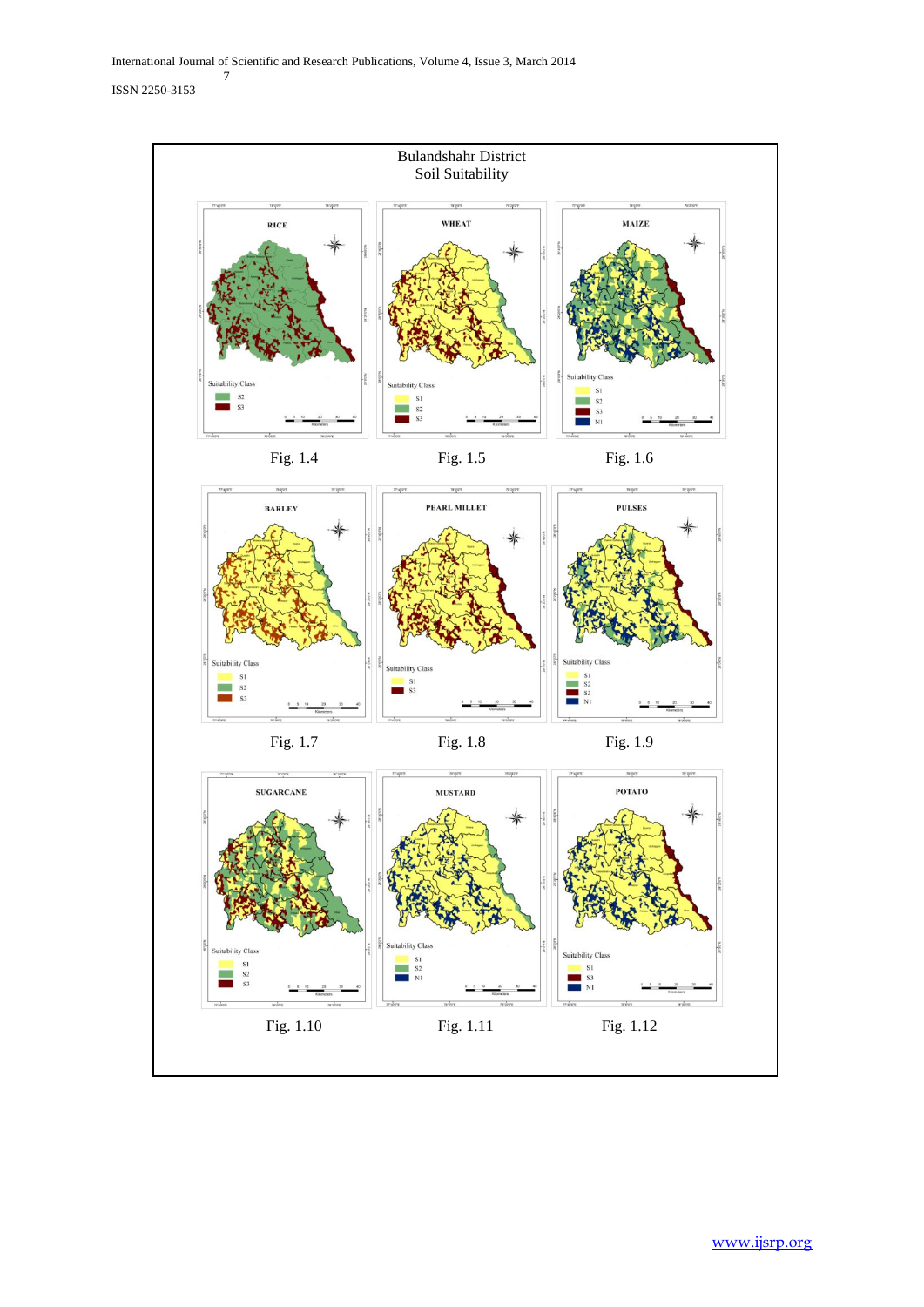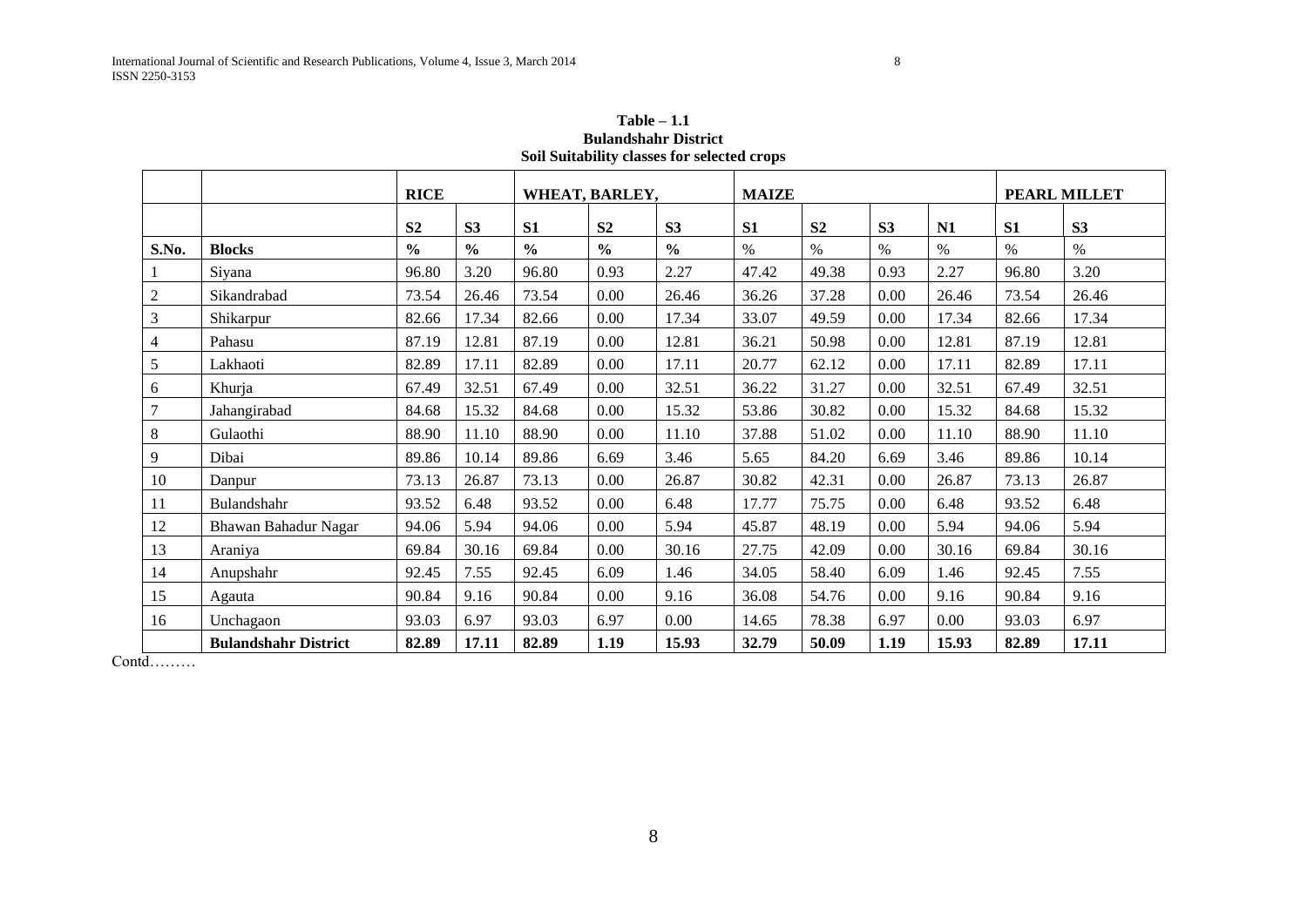| Soil Suitability classes for selected crops |                             |                |                |                |                |                |                |                |                |       |                |                |  |
|---------------------------------------------|-----------------------------|----------------|----------------|----------------|----------------|----------------|----------------|----------------|----------------|-------|----------------|----------------|--|
|                                             |                             | <b>RICE</b>    |                | WHEAT, BARLEY, |                |                | <b>MAIZE</b>   |                |                |       | PEARL MILLET   |                |  |
|                                             |                             | S <sub>2</sub> | S <sub>3</sub> | S <sub>1</sub> | S <sub>2</sub> | S <sub>3</sub> | S <sub>1</sub> | S <sub>2</sub> | S <sub>3</sub> | N1    | S <sub>1</sub> | S <sub>3</sub> |  |
| S.No.                                       | <b>Blocks</b>               | $\frac{0}{0}$  | $\frac{0}{0}$  | $\frac{0}{0}$  | $\frac{0}{0}$  | $\frac{0}{0}$  | $\%$           | $\%$           | $\%$           | $\%$  | $\%$           | $\%$           |  |
|                                             | Siyana                      | 96.80          | 3.20           | 96.80          | 0.93           | 2.27           | 47.42          | 49.38          | 0.93           | 2.27  | 96.80          | 3.20           |  |
| $\overline{2}$                              | Sikandrabad                 | 73.54          | 26.46          | 73.54          | $0.00\,$       | 26.46          | 36.26          | 37.28          | 0.00           | 26.46 | 73.54          | 26.46          |  |
| $\mathfrak{Z}$                              | Shikarpur                   | 82.66          | 17.34          | 82.66          | 0.00           | 17.34          | 33.07          | 49.59          | 0.00           | 17.34 | 82.66          | 17.34          |  |
| $\overline{4}$                              | Pahasu                      | 87.19          | 12.81          | 87.19          | 0.00           | 12.81          | 36.21          | 50.98          | 0.00           | 12.81 | 87.19          | 12.81          |  |
| $\sqrt{5}$                                  | Lakhaoti                    | 82.89          | 17.11          | 82.89          | 0.00           | 17.11          | 20.77          | 62.12          | 0.00           | 17.11 | 82.89          | 17.11          |  |
| 6                                           | Khurja                      | 67.49          | 32.51          | 67.49          | 0.00           | 32.51          | 36.22          | 31.27          | 0.00           | 32.51 | 67.49          | 32.51          |  |
| $\tau$                                      | Jahangirabad                | 84.68          | 15.32          | 84.68          | 0.00           | 15.32          | 53.86          | 30.82          | 0.00           | 15.32 | 84.68          | 15.32          |  |
| $8\,$                                       | Gulaothi                    | 88.90          | 11.10          | 88.90          | 0.00           | 11.10          | 37.88          | 51.02          | 0.00           | 11.10 | 88.90          | 11.10          |  |
| 9                                           | Dibai                       | 89.86          | 10.14          | 89.86          | 6.69           | 3.46           | 5.65           | 84.20          | 6.69           | 3.46  | 89.86          | 10.14          |  |
| 10                                          | Danpur                      | 73.13          | 26.87          | 73.13          | 0.00           | 26.87          | 30.82          | 42.31          | 0.00           | 26.87 | 73.13          | 26.87          |  |
| 11                                          | Bulandshahr                 | 93.52          | 6.48           | 93.52          | 0.00           | 6.48           | 17.77          | 75.75          | 0.00           | 6.48  | 93.52          | 6.48           |  |
| 12                                          | Bhawan Bahadur Nagar        | 94.06          | 5.94           | 94.06          | $0.00\,$       | 5.94           | 45.87          | 48.19          | 0.00           | 5.94  | 94.06          | 5.94           |  |
| 13                                          | Araniya                     | 69.84          | 30.16          | 69.84          | $0.00\,$       | 30.16          | 27.75          | 42.09          | 0.00           | 30.16 | 69.84          | 30.16          |  |
| 14                                          | Anupshahr                   | 92.45          | 7.55           | 92.45          | 6.09           | 1.46           | 34.05          | 58.40          | 6.09           | 1.46  | 92.45          | 7.55           |  |
| 15                                          | Agauta                      | 90.84          | 9.16           | 90.84          | 0.00           | 9.16           | 36.08          | 54.76          | 0.00           | 9.16  | 90.84          | 9.16           |  |
| 16                                          | Unchagaon                   | 93.03          | 6.97           | 93.03          | 6.97           | $0.00\,$       | 14.65          | 78.38          | 6.97           | 0.00  | 93.03          | 6.97           |  |
|                                             | <b>Bulandshahr District</b> | 82.89          | 17.11          | 82.89          | 1.19           | 15.93          | 32.79          | 50.09          | 1.19           | 15.93 | 82.89          | 17.11          |  |

**Table – 1.1 Bulandshahr District Soil Suitability classes for selected crops**

Contd………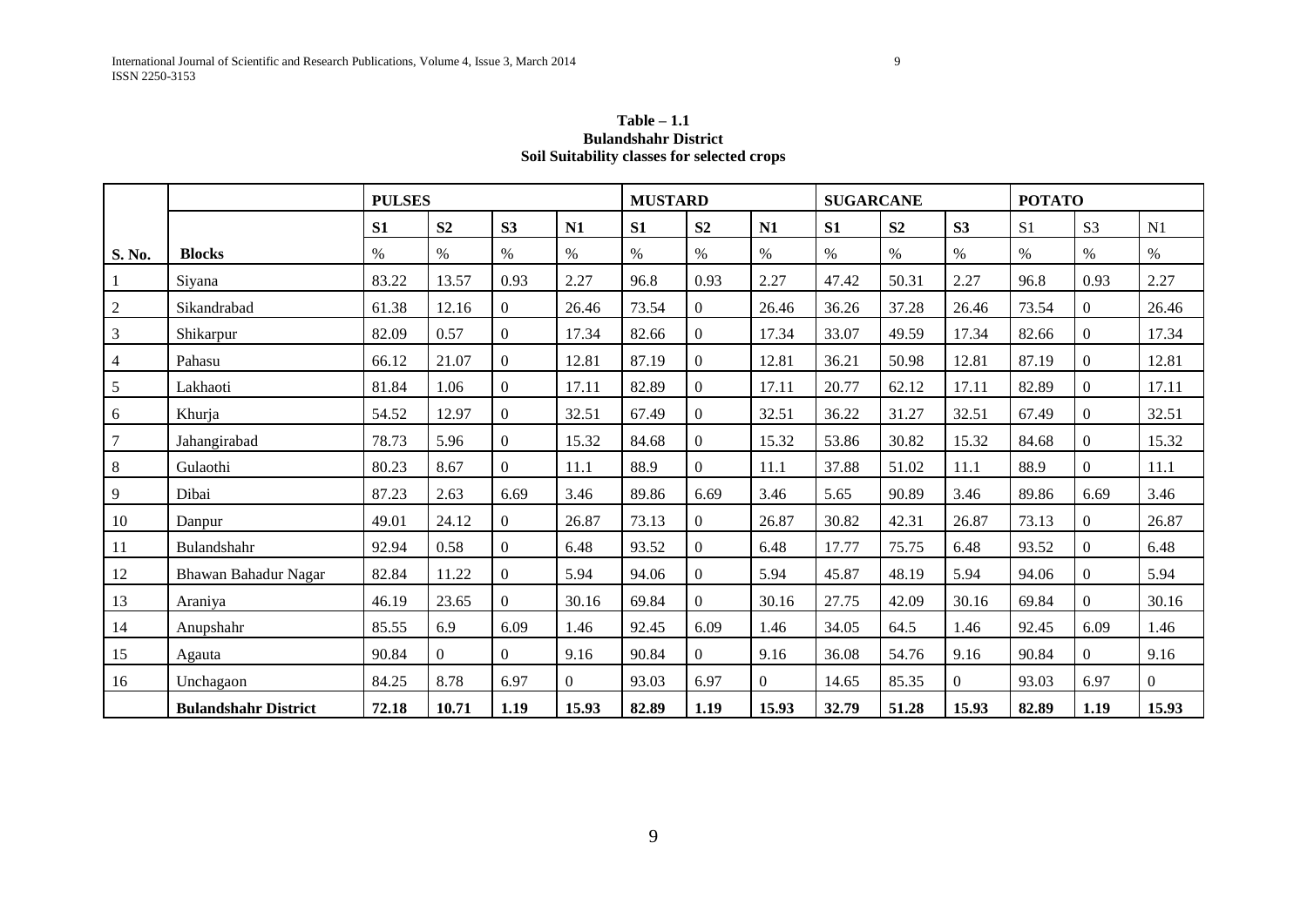# **Table – 1.1 Bulandshahr District Soil Suitability classes for selected crops**

|        |                             | <b>PULSES</b> |                |                |                | <b>MUSTARD</b> |                  |          | <b>SUGARCANE</b> |                |                | <b>POTATO</b>  |                |                |
|--------|-----------------------------|---------------|----------------|----------------|----------------|----------------|------------------|----------|------------------|----------------|----------------|----------------|----------------|----------------|
|        |                             | S1            | S <sub>2</sub> | S <sub>3</sub> | N1             | S1             | S <sub>2</sub>   | N1       | S1               | S <sub>2</sub> | S3             | S <sub>1</sub> | S <sub>3</sub> | N1             |
| S. No. | <b>Blocks</b>               | $\%$          | $\%$           | $\%$           | $\%$           | $\%$           | $\%$             | $\%$     | $\%$             | $\%$           | %              | $\%$           | $\%$           | $\%$           |
|        | Siyana                      | 83.22         | 13.57          | 0.93           | 2.27           | 96.8           | 0.93             | 2.27     | 47.42            | 50.31          | 2.27           | 96.8           | 0.93           | 2.27           |
| 2      | Sikandrabad                 | 61.38         | 12.16          | $\overline{0}$ | 26.46          | 73.54          | $\overline{0}$   | 26.46    | 36.26            | 37.28          | 26.46          | 73.54          | $\Omega$       | 26.46          |
| 3      | Shikarpur                   | 82.09         | 0.57           | $\overline{0}$ | 17.34          | 82.66          | $\Omega$         | 17.34    | 33.07            | 49.59          | 17.34          | 82.66          | $\theta$       | 17.34          |
| 4      | Pahasu                      | 66.12         | 21.07          | $\overline{0}$ | 12.81          | 87.19          | $\boldsymbol{0}$ | 12.81    | 36.21            | 50.98          | 12.81          | 87.19          | $\Omega$       | 12.81          |
| 5      | Lakhaoti                    | 81.84         | 1.06           | $\Omega$       | 17.11          | 82.89          | $\overline{0}$   | 17.11    | 20.77            | 62.12          | 17.11          | 82.89          | $\theta$       | 17.11          |
| 6      | Khurja                      | 54.52         | 12.97          | $\Omega$       | 32.51          | 67.49          | $\theta$         | 32.51    | 36.22            | 31.27          | 32.51          | 67.49          | $\Omega$       | 32.51          |
| 7      | Jahangirabad                | 78.73         | 5.96           | $\overline{0}$ | 15.32          | 84.68          | $\boldsymbol{0}$ | 15.32    | 53.86            | 30.82          | 15.32          | 84.68          | $\overline{0}$ | 15.32          |
| 8      | Gulaothi                    | 80.23         | 8.67           | $\Omega$       | 11.1           | 88.9           | $\theta$         | 11.1     | 37.88            | 51.02          | 11.1           | 88.9           | $\Omega$       | 11.1           |
| 9      | Dibai                       | 87.23         | 2.63           | 6.69           | 3.46           | 89.86          | 6.69             | 3.46     | 5.65             | 90.89          | 3.46           | 89.86          | 6.69           | 3.46           |
| 10     | Danpur                      | 49.01         | 24.12          | $\Omega$       | 26.87          | 73.13          | $\theta$         | 26.87    | 30.82            | 42.31          | 26.87          | 73.13          | $\Omega$       | 26.87          |
| 11     | Bulandshahr                 | 92.94         | 0.58           | $\Omega$       | 6.48           | 93.52          | $\boldsymbol{0}$ | 6.48     | 17.77            | 75.75          | 6.48           | 93.52          | $\Omega$       | 6.48           |
| 12     | Bhawan Bahadur Nagar        | 82.84         | 11.22          | $\Omega$       | 5.94           | 94.06          | $\theta$         | 5.94     | 45.87            | 48.19          | 5.94           | 94.06          | $\theta$       | 5.94           |
| 13     | Araniya                     | 46.19         | 23.65          | $\Omega$       | 30.16          | 69.84          | $\Omega$         | 30.16    | 27.75            | 42.09          | 30.16          | 69.84          | $\Omega$       | 30.16          |
| 14     | Anupshahr                   | 85.55         | 6.9            | 6.09           | 1.46           | 92.45          | 6.09             | 1.46     | 34.05            | 64.5           | 1.46           | 92.45          | 6.09           | 1.46           |
| 15     | Agauta                      | 90.84         | $\Omega$       | $\Omega$       | 9.16           | 90.84          | $\Omega$         | 9.16     | 36.08            | 54.76          | 9.16           | 90.84          | $\Omega$       | 9.16           |
| 16     | Unchagaon                   | 84.25         | 8.78           | 6.97           | $\overline{0}$ | 93.03          | 6.97             | $\Omega$ | 14.65            | 85.35          | $\overline{0}$ | 93.03          | 6.97           | $\overline{0}$ |
|        | <b>Bulandshahr District</b> | 72.18         | 10.71          | 1.19           | 15.93          | 82.89          | 1.19             | 15.93    | 32.79            | 51.28          | 15.93          | 82.89          | 1.19           | 15.93          |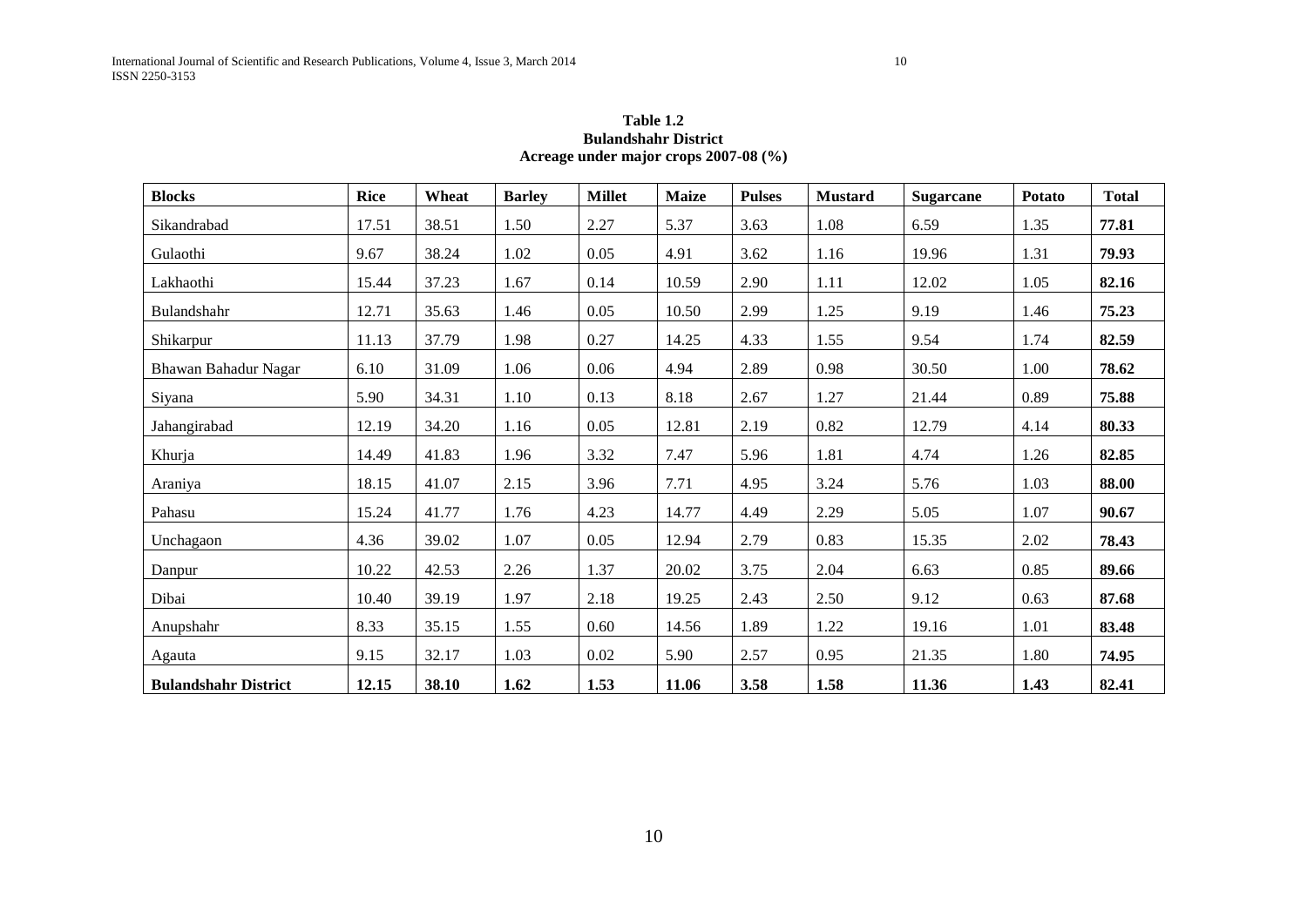# **Table 1.2 Bulandshahr District Acreage under major crops 2007-08 (%)**

| <b>Blocks</b>               | <b>Rice</b> | Wheat | <b>Barley</b> | <b>Millet</b> | <b>Maize</b> | <b>Pulses</b> | <b>Mustard</b> | <b>Sugarcane</b> | <b>Potato</b> | <b>Total</b> |
|-----------------------------|-------------|-------|---------------|---------------|--------------|---------------|----------------|------------------|---------------|--------------|
| Sikandrabad                 | 17.51       | 38.51 | 1.50          | 2.27          | 5.37         | 3.63          | 1.08           | 6.59             | 1.35          | 77.81        |
| Gulaothi                    | 9.67        | 38.24 | 1.02          | 0.05          | 4.91         | 3.62          | 1.16           | 19.96            | 1.31          | 79.93        |
| Lakhaothi                   | 15.44       | 37.23 | 1.67          | 0.14          | 10.59        | 2.90          | 1.11           | 12.02            | 1.05          | 82.16        |
| Bulandshahr                 | 12.71       | 35.63 | 1.46          | 0.05          | 10.50        | 2.99          | 1.25           | 9.19             | 1.46          | 75.23        |
| Shikarpur                   | 11.13       | 37.79 | 1.98          | 0.27          | 14.25        | 4.33          | 1.55           | 9.54             | 1.74          | 82.59        |
| Bhawan Bahadur Nagar        | 6.10        | 31.09 | 1.06          | 0.06          | 4.94         | 2.89          | 0.98           | 30.50            | 1.00          | 78.62        |
| Siyana                      | 5.90        | 34.31 | 1.10          | 0.13          | 8.18         | 2.67          | 1.27           | 21.44            | 0.89          | 75.88        |
| Jahangirabad                | 12.19       | 34.20 | 1.16          | 0.05          | 12.81        | 2.19          | 0.82           | 12.79            | 4.14          | 80.33        |
| Khurja                      | 14.49       | 41.83 | 1.96          | 3.32          | 7.47         | 5.96          | 1.81           | 4.74             | 1.26          | 82.85        |
| Araniya                     | 18.15       | 41.07 | 2.15          | 3.96          | 7.71         | 4.95          | 3.24           | 5.76             | 1.03          | 88.00        |
| Pahasu                      | 15.24       | 41.77 | 1.76          | 4.23          | 14.77        | 4.49          | 2.29           | 5.05             | 1.07          | 90.67        |
| Unchagaon                   | 4.36        | 39.02 | 1.07          | 0.05          | 12.94        | 2.79          | 0.83           | 15.35            | 2.02          | 78.43        |
| Danpur                      | 10.22       | 42.53 | 2.26          | 1.37          | 20.02        | 3.75          | 2.04           | 6.63             | 0.85          | 89.66        |
| Dibai                       | 10.40       | 39.19 | 1.97          | 2.18          | 19.25        | 2.43          | 2.50           | 9.12             | 0.63          | 87.68        |
| Anupshahr                   | 8.33        | 35.15 | 1.55          | 0.60          | 14.56        | 1.89          | 1.22           | 19.16            | 1.01          | 83.48        |
| Agauta                      | 9.15        | 32.17 | 1.03          | 0.02          | 5.90         | 2.57          | 0.95           | 21.35            | 1.80          | 74.95        |
| <b>Bulandshahr District</b> | 12.15       | 38.10 | 1.62          | 1.53          | 11.06        | 3.58          | 1.58           | 11.36            | 1.43          | 82.41        |